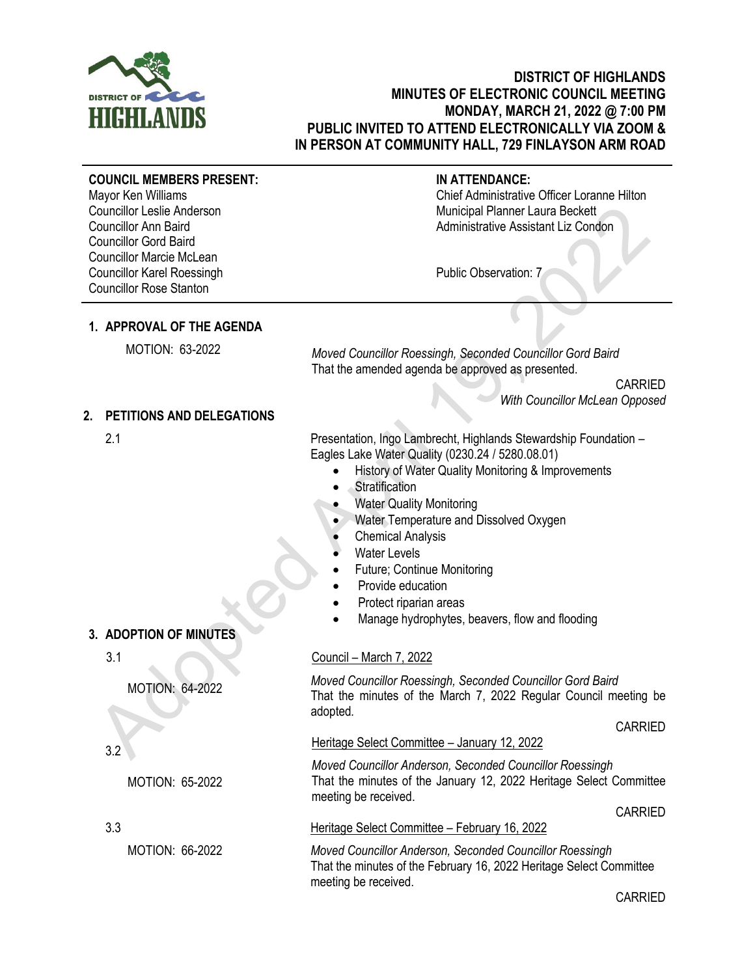

Mayor Ken Williams

**COUNCIL MEMBERS PRESENT:**

# **DISTRICT OF HIGHLANDS MINUTES OF ELECTRONIC COUNCIL MEETING MONDAY, MARCH 21, 2022 @ 7:00 PM PUBLIC INVITED TO ATTEND ELECTRONICALLY VIA ZOOM & IN PERSON AT COMMUNITY HALL, 729 FINLAYSON ARM ROAD**

**IN ATTENDANCE:**

Chief Administrative Officer Loranne Hilton

#### Councillor Leslie Anderson Councillor Ann Baird Councillor Gord Baird Councillor Marcie McLean Councillor Karel Roessingh Councillor Rose Stanton Municipal Planner Laura Beckett Administrative Assistant Liz Condon Public Observation: 7 **1. APPROVAL OF THE AGENDA** MOTION: 63-2022 *Moved Councillor Roessingh, Seconded Councillor Gord Baird* That the amended agenda be approved as presented. CARRIED *With Councillor McLean Opposed* **2. PETITIONS AND DELEGATIONS** 2.1 Presentation, Ingo Lambrecht, Highlands Stewardship Foundation – Eagles Lake Water Quality (0230.24 / 5280.08.01) • History of Water Quality Monitoring & Improvements **Stratification** • Water Quality Monitoring • Water Temperature and Dissolved Oxygen **Chemical Analysis** Water Levels • Future; Continue Monitoring Provide education • Protect riparian areas Manage hydrophytes, beavers, flow and flooding **3. ADOPTION OF MINUTES** 3.1 MOTION: 64-2022 3.2 MOTION: 65-2022 Council – March 7, 2022 *Moved Councillor Roessingh, Seconded Councillor Gord Baird* That the minutes of the March 7, 2022 Regular Council meeting be adopted*.* CARRIED Heritage Select Committee – January 12, 2022 *Moved Councillor Anderson, Seconded Councillor Roessingh* That the minutes of the January 12, 2022 Heritage Select Committee meeting be received. CARRIED 3.3 Heritage Select Committee – February 16, 2022 MOTION: 66-2022 *Moved Councillor Anderson, Seconded Councillor Roessingh* That the minutes of the February 16, 2022 Heritage Select Committee meeting be received.

CARRIED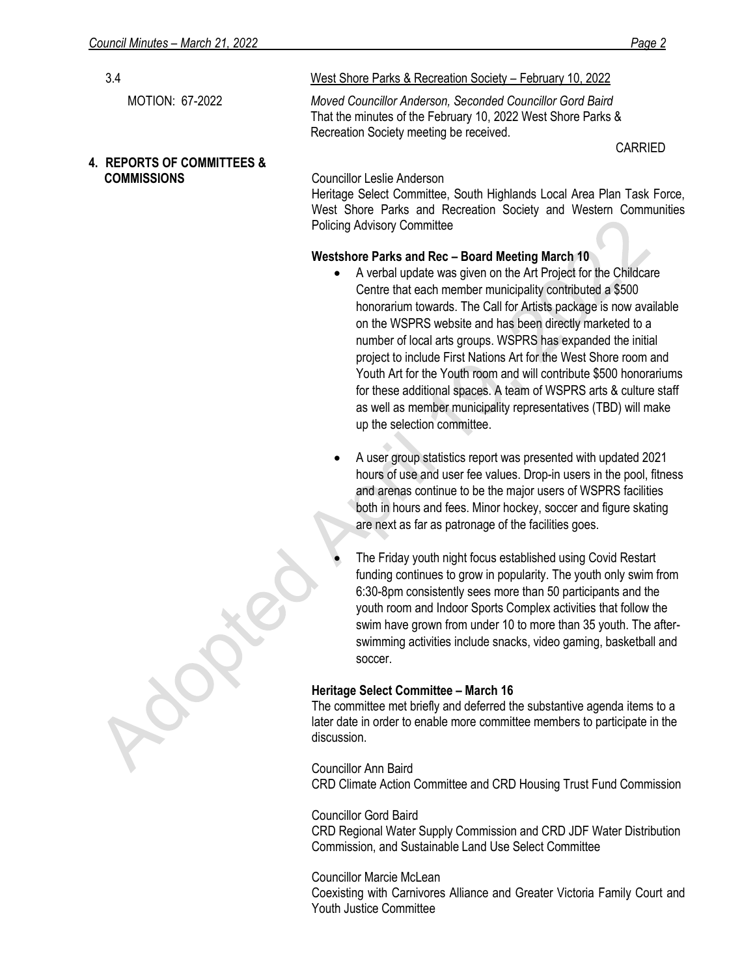| 3.4                                   | West Shore Parks & Recreation Society - February 10, 2022                                                                                                                                                                                                                                                                                                                                                                                                               |
|---------------------------------------|-------------------------------------------------------------------------------------------------------------------------------------------------------------------------------------------------------------------------------------------------------------------------------------------------------------------------------------------------------------------------------------------------------------------------------------------------------------------------|
| <b>MOTION: 67-2022</b>                | Moved Councillor Anderson, Seconded Councillor Gord Baird<br>That the minutes of the February 10, 2022 West Shore Parks &<br>Recreation Society meeting be received.                                                                                                                                                                                                                                                                                                    |
| <b>4. REPORTS OF COMMITTEES &amp;</b> | <b>CARRIED</b>                                                                                                                                                                                                                                                                                                                                                                                                                                                          |
| <b>COMMISSIONS</b>                    | Councillor Leslie Anderson<br>Heritage Select Committee, South Highlands Local Area Plan Task Force,<br>West Shore Parks and Recreation Society and Western Communities<br><b>Policing Advisory Committee</b>                                                                                                                                                                                                                                                           |
|                                       | Westshore Parks and Rec - Board Meeting March 10                                                                                                                                                                                                                                                                                                                                                                                                                        |
|                                       | A verbal update was given on the Art Project for the Childcare<br>$\bullet$                                                                                                                                                                                                                                                                                                                                                                                             |
|                                       | Centre that each member municipality contributed a \$500<br>honorarium towards. The Call for Artists package is now available<br>on the WSPRS website and has been directly marketed to a<br>number of local arts groups. WSPRS has expanded the initial<br>project to include First Nations Art for the West Shore room and<br>Youth Art for the Youth room and will contribute \$500 honorariums<br>for these additional spaces. A team of WSPRS arts & culture staff |

as well as member municipality representatives (TBD) will make up the selection committee. • A user group statistics report was presented with updated 2021 hours of use and user fee values. Drop-in users in the pool, fitness and arenas continue to be the major users of WSPRS facilities

both in hours and fees. Minor hockey, soccer and figure skating

are next as far as patronage of the facilities goes.

• The Friday youth night focus established using Covid Restart funding continues to grow in popularity. The youth only swim from 6:30-8pm consistently sees more than 50 participants and the youth room and Indoor Sports Complex activities that follow the swim have grown from under 10 to more than 35 youth. The afterswimming activities include snacks, video gaming, basketball and soccer.

## **Heritage Select Committee – March 16**

The committee met briefly and deferred the substantive agenda items to a later date in order to enable more committee members to participate in the discussion.

Councillor Ann Baird CRD Climate Action Committee and CRD Housing Trust Fund Commission

Councillor Gord Baird CRD Regional Water Supply Commission and CRD JDF Water Distribution Commission, and Sustainable Land Use Select Committee

Councillor Marcie McLean Coexisting with Carnivores Alliance and Greater Victoria Family Court and Youth Justice Committee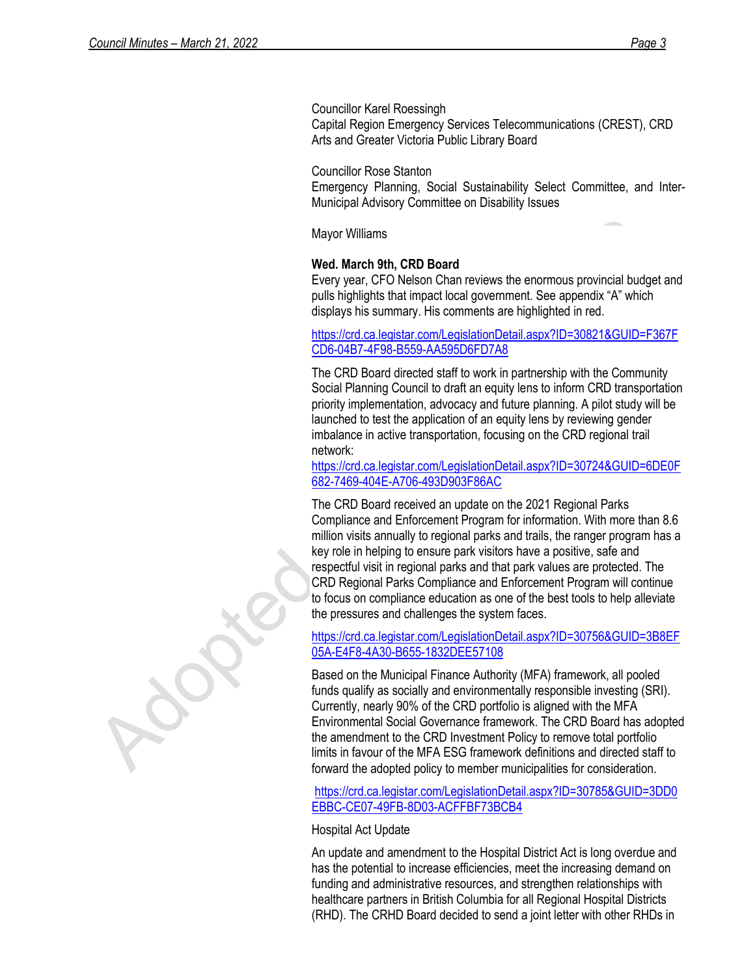Councillor Karel Roessingh Capital Region Emergency Services Telecommunications (CREST), CRD Arts and Greater Victoria Public Library Board

Councillor Rose Stanton Emergency Planning, Social Sustainability Select Committee, and Inter-Municipal Advisory Committee on Disability Issues

Mayor Williams

## **Wed. March 9th, CRD Board**

Every year, CFO Nelson Chan reviews the enormous provincial budget and pulls highlights that impact local government. See appendix "A" which displays his summary. His comments are highlighted in red.

### [https://crd.ca.legistar.com/LegislationDetail.aspx?ID=30821&GUID=F367F](https://crd.ca.legistar.com/LegislationDetail.aspx?ID=30821&GUID=F367FCD6-04B7-4F98-B559-AA595D6FD7A8) [CD6-04B7-4F98-B559-AA595D6FD7A8](https://crd.ca.legistar.com/LegislationDetail.aspx?ID=30821&GUID=F367FCD6-04B7-4F98-B559-AA595D6FD7A8)

The CRD Board directed staff to work in partnership with the Community Social Planning Council to draft an equity lens to inform CRD transportation priority implementation, advocacy and future planning. A pilot study will be launched to test the application of an equity lens by reviewing gender imbalance in active transportation, focusing on the CRD regional trail network:

[https://crd.ca.legistar.com/LegislationDetail.aspx?ID=30724&GUID=6DE0F](https://crd.ca.legistar.com/LegislationDetail.aspx?ID=30724&GUID=6DE0F682-7469-404E-A706-493D903F86AC) [682-7469-404E-A706-493D903F86AC](https://crd.ca.legistar.com/LegislationDetail.aspx?ID=30724&GUID=6DE0F682-7469-404E-A706-493D903F86AC)

The CRD Board received an update on the 2021 Regional Parks Compliance and Enforcement Program for information. With more than 8.6 million visits annually to regional parks and trails, the ranger program has a key role in helping to ensure park visitors have a positive, safe and respectful visit in regional parks and that park values are protected. The CRD Regional Parks Compliance and Enforcement Program will continue to focus on compliance education as one of the best tools to help alleviate the pressures and challenges the system faces.

[https://crd.ca.legistar.com/LegislationDetail.aspx?ID=30756&GUID=3B8EF](https://crd.ca.legistar.com/LegislationDetail.aspx?ID=30756&GUID=3B8EF05A-E4F8-4A30-B655-1832DEE57108) [05A-E4F8-4A30-B655-1832DEE57108](https://crd.ca.legistar.com/LegislationDetail.aspx?ID=30756&GUID=3B8EF05A-E4F8-4A30-B655-1832DEE57108)

Based on the Municipal Finance Authority (MFA) framework, all pooled funds qualify as socially and environmentally responsible investing (SRI). Currently, nearly 90% of the CRD portfolio is aligned with the MFA Environmental Social Governance framework. The CRD Board has adopted the amendment to the CRD Investment Policy to remove total portfolio limits in favour of the MFA ESG framework definitions and directed staff to forward the adopted policy to member municipalities for consideration.

[https://crd.ca.legistar.com/LegislationDetail.aspx?ID=30785&GUID=3DD0](https://crd.ca.legistar.com/LegislationDetail.aspx?ID=30785&GUID=3DD0EBBC-CE07-49FB-8D03-ACFFBF73BCB4) [EBBC-CE07-49FB-8D03-ACFFBF73BCB4](https://crd.ca.legistar.com/LegislationDetail.aspx?ID=30785&GUID=3DD0EBBC-CE07-49FB-8D03-ACFFBF73BCB4)

#### Hospital Act Update

An update and amendment to the Hospital District Act is long overdue and has the potential to increase efficiencies, meet the increasing demand on funding and administrative resources, and strengthen relationships with healthcare partners in British Columbia for all Regional Hospital Districts (RHD). The CRHD Board decided to send a joint letter with other RHDs in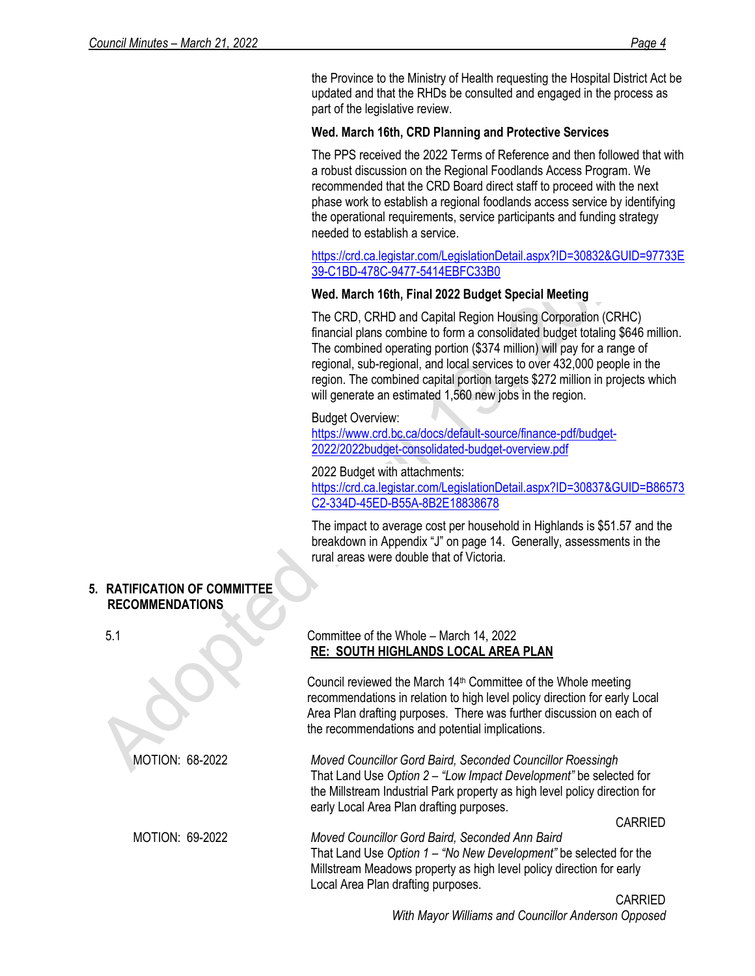the Province to the Ministry of Health requesting the Hospital District Act be updated and that the RHDs be consulted and engaged in the process as part of the legislative review.

# **Wed. March 16th, CRD Planning and Protective Services**

The PPS received the 2022 Terms of Reference and then followed that with a robust discussion on the Regional Foodlands Access Program. We recommended that the CRD Board direct staff to proceed with the next phase work to establish a regional foodlands access service by identifying the operational requirements, service participants and funding strategy needed to establish a service.

[https://crd.ca.legistar.com/LegislationDetail.aspx?ID=30832&GUID=97733E](https://crd.ca.legistar.com/LegislationDetail.aspx?ID=30832&GUID=97733E39-C1BD-478C-9477-5414EBFC33B0) [39-C1BD-478C-9477-5414EBFC33B0](https://crd.ca.legistar.com/LegislationDetail.aspx?ID=30832&GUID=97733E39-C1BD-478C-9477-5414EBFC33B0)

## **Wed. March 16th, Final 2022 Budget Special Meeting**

The CRD, CRHD and Capital Region Housing Corporation (CRHC) financial plans combine to form a consolidated budget totaling \$646 million. The combined operating portion (\$374 million) will pay for a range of regional, sub-regional, and local services to over 432,000 people in the region. The combined capital portion targets \$272 million in projects which will generate an estimated 1,560 new jobs in the region.

## Budget Overview:

[https://www.crd.bc.ca/docs/default-source/finance-pdf/budget-](https://www.crd.bc.ca/docs/default-source/finance-pdf/budget-2022/2022budget-consolidated-budget-overview.pdf)[2022/2022budget-consolidated-budget-overview.pdf](https://www.crd.bc.ca/docs/default-source/finance-pdf/budget-2022/2022budget-consolidated-budget-overview.pdf)

## 2022 Budget with attachments:

[https://crd.ca.legistar.com/LegislationDetail.aspx?ID=30837&GUID=B86573](https://crd.ca.legistar.com/LegislationDetail.aspx?ID=30837&GUID=B86573C2-334D-45ED-B55A-8B2E18838678) [C2-334D-45ED-B55A-8B2E18838678](https://crd.ca.legistar.com/LegislationDetail.aspx?ID=30837&GUID=B86573C2-334D-45ED-B55A-8B2E18838678)

The impact to average cost per household in Highlands is \$51.57 and the breakdown in Appendix "J" on page 14. Generally, assessments in the rural areas were double that of Victoria.

## **5. RATIFICATION OF COMMITTEE RECOMMENDATIONS**

## 5.1 Committee of the Whole – March 14, 2022 **RE: SOUTH HIGHLANDS LOCAL AREA PLAN**

Council reviewed the March 14th Committee of the Whole meeting recommendations in relation to high level policy direction for early Local Area Plan drafting purposes. There was further discussion on each of the recommendations and potential implications.

MOTION: 68-2022 *Moved Councillor Gord Baird, Seconded Councillor Roessingh* That Land Use *Option 2 – "Low Impact Development"* be selected for the Millstream Industrial Park property as high level policy direction for early Local Area Plan drafting purposes.

CARRIED

MOTION: 69-2022 *Moved Councillor Gord Baird, Seconded Ann Baird* That Land Use *Option 1 – "No New Development"* be selected for the Millstream Meadows property as high level policy direction for early Local Area Plan drafting purposes.

> CARRIED *With Mayor Williams and Councillor Anderson Opposed*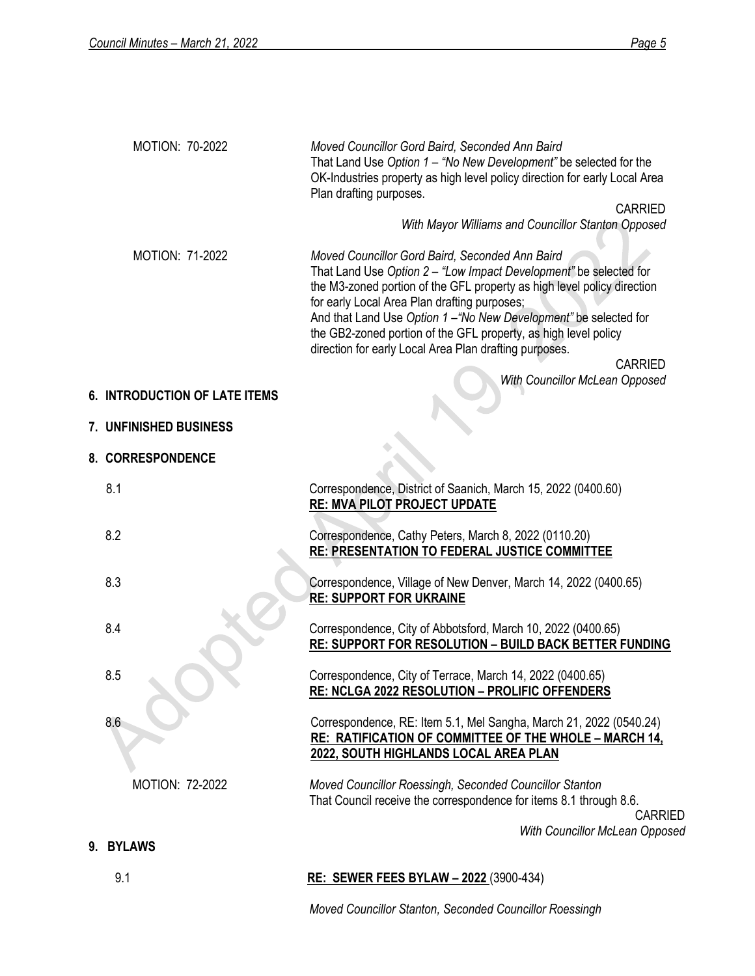**9.** 

|                        | Moved Councillor Gord Baird, Seconded Ann Baird<br>That Land Use Option 1 - "No New Development" be selected for the<br>OK-Industries property as high level policy direction for early Local Area<br>Plan drafting purposes.                                                                                                                                                                                                                                                                       |
|------------------------|-----------------------------------------------------------------------------------------------------------------------------------------------------------------------------------------------------------------------------------------------------------------------------------------------------------------------------------------------------------------------------------------------------------------------------------------------------------------------------------------------------|
|                        | <b>CARRIED</b>                                                                                                                                                                                                                                                                                                                                                                                                                                                                                      |
|                        | With Mayor Williams and Councillor Stanton Opposed                                                                                                                                                                                                                                                                                                                                                                                                                                                  |
| MOTION: 71-2022        | Moved Councillor Gord Baird, Seconded Ann Baird<br>That Land Use Option 2 - "Low Impact Development" be selected for<br>the M3-zoned portion of the GFL property as high level policy direction<br>for early Local Area Plan drafting purposes;<br>And that Land Use Option 1-"No New Development" be selected for<br>the GB2-zoned portion of the GFL property, as high level policy<br>direction for early Local Area Plan drafting purposes.<br><b>CARRIED</b><br>With Councillor McLean Opposed |
|                        |                                                                                                                                                                                                                                                                                                                                                                                                                                                                                                     |
|                        |                                                                                                                                                                                                                                                                                                                                                                                                                                                                                                     |
|                        |                                                                                                                                                                                                                                                                                                                                                                                                                                                                                                     |
| 8.1                    | Correspondence, District of Saanich, March 15, 2022 (0400.60)<br>RE: MVA PILOT PROJECT UPDATE                                                                                                                                                                                                                                                                                                                                                                                                       |
| 8.2                    | Correspondence, Cathy Peters, March 8, 2022 (0110.20)<br>RE: PRESENTATION TO FEDERAL JUSTICE COMMITTEE                                                                                                                                                                                                                                                                                                                                                                                              |
| 8.3                    | Correspondence, Village of New Denver, March 14, 2022 (0400.65)<br><b>RE: SUPPORT FOR UKRAINE</b>                                                                                                                                                                                                                                                                                                                                                                                                   |
| 8.4                    | Correspondence, City of Abbotsford, March 10, 2022 (0400.65)<br>RE: SUPPORT FOR RESOLUTION - BUILD BACK BETTER FUNDING                                                                                                                                                                                                                                                                                                                                                                              |
| 8.5                    | Correspondence, City of Terrace, March 14, 2022 (0400.65)<br><b>RE: NCLGA 2022 RESOLUTION - PROLIFIC OFFENDERS</b>                                                                                                                                                                                                                                                                                                                                                                                  |
| 8.6                    | Correspondence, RE: Item 5.1, Mel Sangha, March 21, 2022 (0540.24)<br><b>RE: RATIFICATION OF COMMITTEE OF THE WHOLE - MARCH 14,</b><br>2022, SOUTH HIGHLANDS LOCAL AREA PLAN                                                                                                                                                                                                                                                                                                                        |
| <b>MOTION: 72-2022</b> | Moved Councillor Roessingh, Seconded Councillor Stanton<br>That Council receive the correspondence for items 8.1 through 8.6.<br><b>CARRIED</b>                                                                                                                                                                                                                                                                                                                                                     |
|                        | With Councillor McLean Opposed                                                                                                                                                                                                                                                                                                                                                                                                                                                                      |
| 9.1                    | <b>RE: SEWER FEES BYLAW - 2022</b> (3900-434)                                                                                                                                                                                                                                                                                                                                                                                                                                                       |
|                        | 6. INTRODUCTION OF LATE ITEMS<br>7. UNFINISHED BUSINESS<br>8. CORRESPONDENCE<br>9. BYLAWS                                                                                                                                                                                                                                                                                                                                                                                                           |

*Moved Councillor Stanton, Seconded Councillor Roessingh*